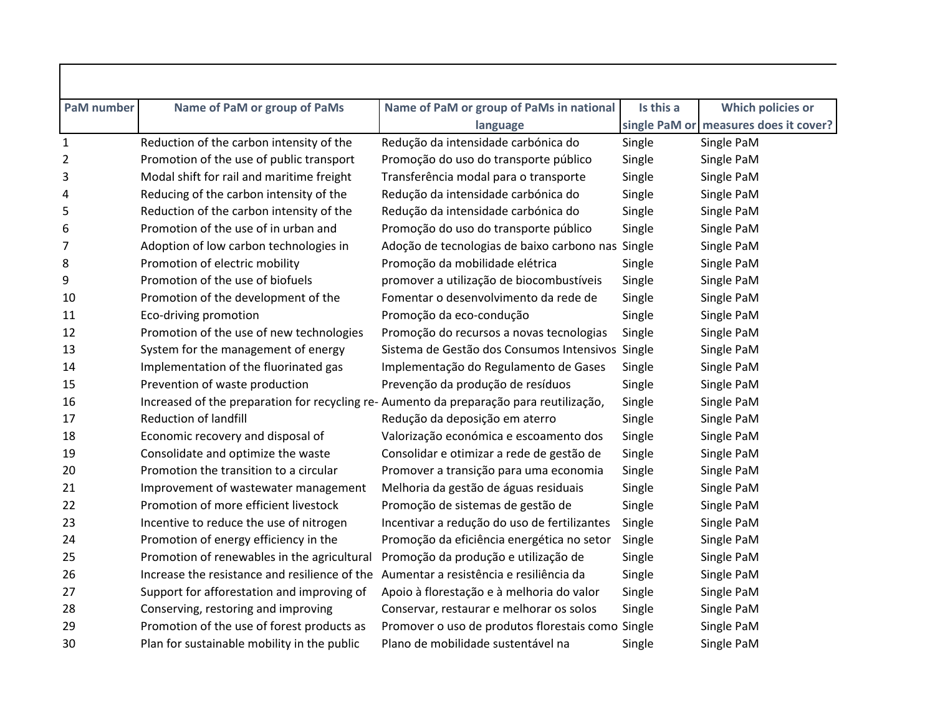| <b>PaM</b> number | Name of PaM or group of PaMs                                                            | Name of PaM or group of PaMs in national          | Is this a | <b>Which policies or</b>              |
|-------------------|-----------------------------------------------------------------------------------------|---------------------------------------------------|-----------|---------------------------------------|
|                   |                                                                                         | language                                          |           | single PaM or measures does it cover? |
| $\mathbf{1}$      | Reduction of the carbon intensity of the                                                | Redução da intensidade carbónica do               | Single    | Single PaM                            |
| 2                 | Promotion of the use of public transport                                                | Promoção do uso do transporte público             | Single    | Single PaM                            |
| 3                 | Modal shift for rail and maritime freight                                               | Transferência modal para o transporte             | Single    | Single PaM                            |
| 4                 | Reducing of the carbon intensity of the                                                 | Redução da intensidade carbónica do               | Single    | Single PaM                            |
| 5                 | Reduction of the carbon intensity of the                                                | Redução da intensidade carbónica do               | Single    | Single PaM                            |
| 6                 | Promotion of the use of in urban and                                                    | Promoção do uso do transporte público             | Single    | Single PaM                            |
| 7                 | Adoption of low carbon technologies in                                                  | Adoção de tecnologias de baixo carbono nas Single |           | Single PaM                            |
| 8                 | Promotion of electric mobility                                                          | Promoção da mobilidade elétrica                   | Single    | Single PaM                            |
| 9                 | Promotion of the use of biofuels                                                        | promover a utilização de biocombustíveis          | Single    | Single PaM                            |
| 10                | Promotion of the development of the                                                     | Fomentar o desenvolvimento da rede de             | Single    | Single PaM                            |
| 11                | Eco-driving promotion                                                                   | Promoção da eco-condução                          | Single    | Single PaM                            |
| 12                | Promotion of the use of new technologies                                                | Promoção do recursos a novas tecnologias          | Single    | Single PaM                            |
| 13                | System for the management of energy                                                     | Sistema de Gestão dos Consumos Intensivos Single  |           | Single PaM                            |
| 14                | Implementation of the fluorinated gas                                                   | Implementação do Regulamento de Gases             | Single    | Single PaM                            |
| 15                | Prevention of waste production                                                          | Prevenção da produção de resíduos                 | Single    | Single PaM                            |
| 16                | Increased of the preparation for recycling re- Aumento da preparação para reutilização, |                                                   | Single    | Single PaM                            |
| 17                | <b>Reduction of landfill</b>                                                            | Redução da deposição em aterro                    | Single    | Single PaM                            |
| 18                | Economic recovery and disposal of                                                       | Valorização económica e escoamento dos            | Single    | Single PaM                            |
| 19                | Consolidate and optimize the waste                                                      | Consolidar e otimizar a rede de gestão de         | Single    | Single PaM                            |
| 20                | Promotion the transition to a circular                                                  | Promover a transição para uma economia            | Single    | Single PaM                            |
| 21                | Improvement of wastewater management                                                    | Melhoria da gestão de águas residuais             | Single    | Single PaM                            |
| 22                | Promotion of more efficient livestock                                                   | Promoção de sistemas de gestão de                 | Single    | Single PaM                            |
| 23                | Incentive to reduce the use of nitrogen                                                 | Incentivar a redução do uso de fertilizantes      | Single    | Single PaM                            |
| 24                | Promotion of energy efficiency in the                                                   | Promoção da eficiência energética no setor        | Single    | Single PaM                            |
| 25                | Promotion of renewables in the agricultural                                             | Promoção da produção e utilização de              | Single    | Single PaM                            |
| 26                | Increase the resistance and resilience of the                                           | Aumentar a resistência e resiliência da           | Single    | Single PaM                            |
| 27                | Support for afforestation and improving of                                              | Apoio à florestação e à melhoria do valor         | Single    | Single PaM                            |
| 28                | Conserving, restoring and improving                                                     | Conservar, restaurar e melhorar os solos          | Single    | Single PaM                            |
| 29                | Promotion of the use of forest products as                                              | Promover o uso de produtos florestais como Single |           | Single PaM                            |
| 30                | Plan for sustainable mobility in the public                                             | Plano de mobilidade sustentável na                | Single    | Single PaM                            |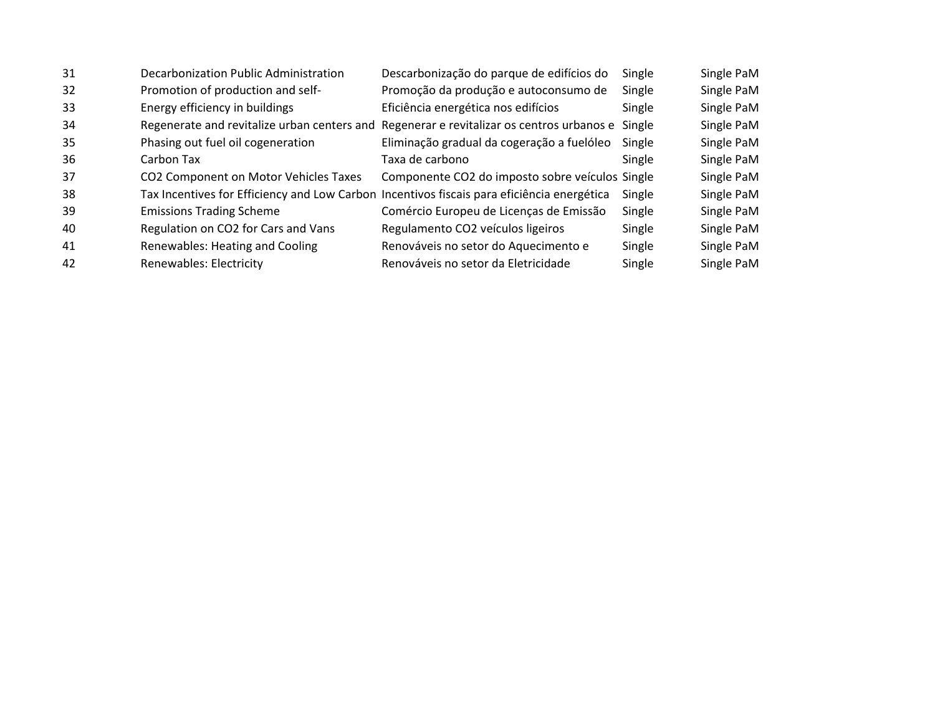| 31 | Decarbonization Public Administration                                                      | Descarbonização do parque de edifícios do       | Single | Single PaM |
|----|--------------------------------------------------------------------------------------------|-------------------------------------------------|--------|------------|
| 32 | Promotion of production and self-                                                          | Promoção da produção e autoconsumo de           | Single | Single PaM |
| 33 | Energy efficiency in buildings                                                             | Eficiência energética nos edifícios             | Single | Single PaM |
| 34 | Regenerate and revitalize urban centers and                                                | Regenerar e revitalizar os centros urbanos e    | Single | Single PaM |
| 35 | Phasing out fuel oil cogeneration                                                          | Eliminação gradual da cogeração a fuelóleo      | Single | Single PaM |
| 36 | Carbon Tax                                                                                 | Taxa de carbono                                 | Single | Single PaM |
| 37 | CO2 Component on Motor Vehicles Taxes                                                      | Componente CO2 do imposto sobre veículos Single |        | Single PaM |
| 38 | Tax Incentives for Efficiency and Low Carbon Incentivos fiscais para eficiência energética |                                                 | Single | Single PaM |
| 39 | <b>Emissions Trading Scheme</b>                                                            | Comércio Europeu de Licenças de Emissão         | Single | Single PaM |
| 40 | Regulation on CO2 for Cars and Vans                                                        | Regulamento CO2 veículos ligeiros               | Single | Single PaM |
| 41 | Renewables: Heating and Cooling                                                            | Renováveis no setor do Aquecimento e            | Single | Single PaM |
| 42 | Renewables: Electricity                                                                    | Renováveis no setor da Eletricidade             | Single | Single PaM |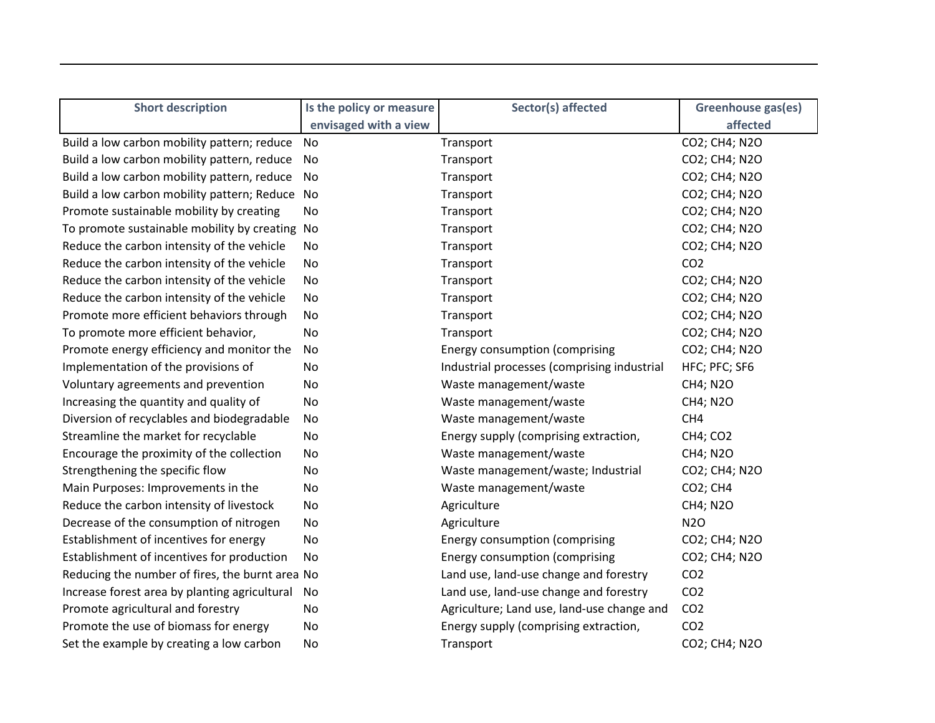| <b>Short description</b>                        | Is the policy or measure | Sector(s) affected                          | Greenhouse gas(es) |
|-------------------------------------------------|--------------------------|---------------------------------------------|--------------------|
|                                                 | envisaged with a view    |                                             | affected           |
| Build a low carbon mobility pattern; reduce     | No                       | Transport                                   | CO2; CH4; N2O      |
| Build a low carbon mobility pattern, reduce     | No.                      | Transport                                   | CO2; CH4; N2O      |
| Build a low carbon mobility pattern, reduce     | No                       | Transport                                   | CO2; CH4; N2O      |
| Build a low carbon mobility pattern; Reduce No  |                          | Transport                                   | CO2; CH4; N2O      |
| Promote sustainable mobility by creating        | No.                      | Transport                                   | CO2; CH4; N2O      |
| To promote sustainable mobility by creating No  |                          | Transport                                   | CO2; CH4; N2O      |
| Reduce the carbon intensity of the vehicle      | No.                      | Transport                                   | CO2; CH4; N2O      |
| Reduce the carbon intensity of the vehicle      | No                       | Transport                                   | CO <sub>2</sub>    |
| Reduce the carbon intensity of the vehicle      | No                       | Transport                                   | CO2; CH4; N2O      |
| Reduce the carbon intensity of the vehicle      | No                       | Transport                                   | CO2; CH4; N2O      |
| Promote more efficient behaviors through        | No                       | Transport                                   | CO2; CH4; N2O      |
| To promote more efficient behavior,             | No                       | Transport                                   | CO2; CH4; N2O      |
| Promote energy efficiency and monitor the       | No                       | Energy consumption (comprising              | CO2; CH4; N2O      |
| Implementation of the provisions of             | No                       | Industrial processes (comprising industrial | HFC; PFC; SF6      |
| Voluntary agreements and prevention             | No                       | Waste management/waste                      | <b>CH4; N2O</b>    |
| Increasing the quantity and quality of          | No                       | Waste management/waste                      | <b>CH4; N2O</b>    |
| Diversion of recyclables and biodegradable      | No                       | Waste management/waste                      | CH <sub>4</sub>    |
| Streamline the market for recyclable            | No                       | Energy supply (comprising extraction,       | <b>CH4; CO2</b>    |
| Encourage the proximity of the collection       | No                       | Waste management/waste                      | <b>CH4; N2O</b>    |
| Strengthening the specific flow                 | No                       | Waste management/waste; Industrial          | CO2; CH4; N2O      |
| Main Purposes: Improvements in the              | No                       | Waste management/waste                      | CO2; CH4           |
| Reduce the carbon intensity of livestock        | No                       | Agriculture                                 | <b>CH4; N2O</b>    |
| Decrease of the consumption of nitrogen         | No                       | Agriculture                                 | <b>N2O</b>         |
| Establishment of incentives for energy          | No                       | <b>Energy consumption (comprising</b>       | CO2; CH4; N2O      |
| Establishment of incentives for production      | No                       | <b>Energy consumption (comprising</b>       | CO2; CH4; N2O      |
| Reducing the number of fires, the burnt area No |                          | Land use, land-use change and forestry      | CO <sub>2</sub>    |
| Increase forest area by planting agricultural   | No                       | Land use, land-use change and forestry      | CO <sub>2</sub>    |
| Promote agricultural and forestry               | No                       | Agriculture; Land use, land-use change and  | CO <sub>2</sub>    |
| Promote the use of biomass for energy           | No                       | Energy supply (comprising extraction,       | CO <sub>2</sub>    |
| Set the example by creating a low carbon        | No                       | Transport                                   | CO2; CH4; N2O      |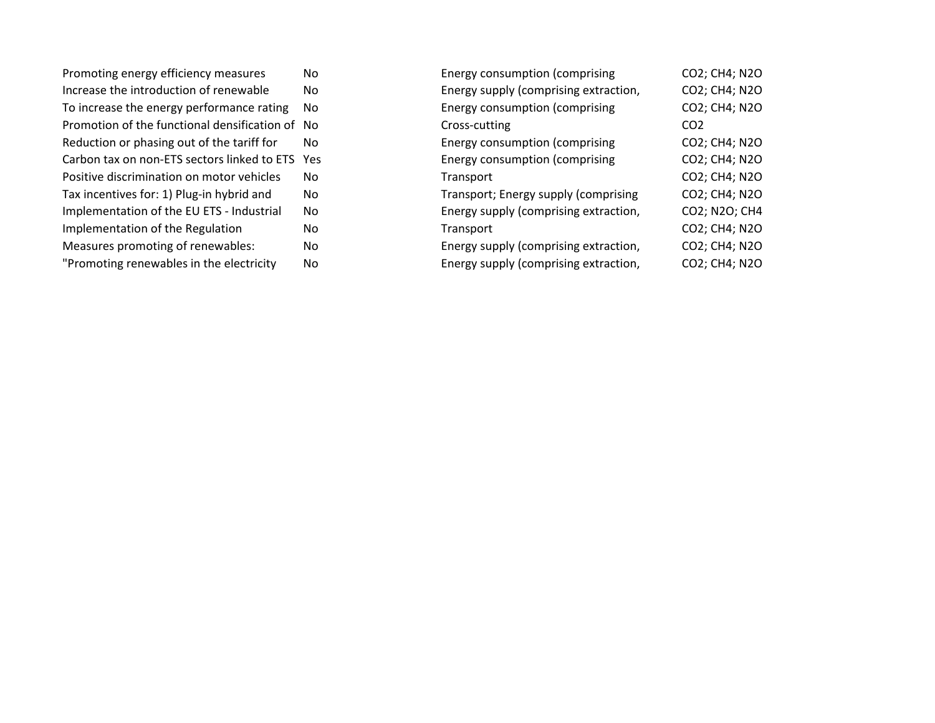| Promoting energy efficiency measures         | No  |
|----------------------------------------------|-----|
| Increase the introduction of renewable       | No  |
| To increase the energy performance rating    | No  |
| Promotion of the functional densification of | Nο  |
| Reduction or phasing out of the tariff for   | Nο  |
| Carbon tax on non-ETS sectors linked to ETS  | Yes |
| Positive discrimination on motor vehicles    | Nο  |
| Tax incentives for: 1) Plug-in hybrid and    | No  |
| Implementation of the EU ETS - Industrial    | No  |
| Implementation of the Regulation             | No  |
| Measures promoting of renewables:            | No  |
| "Promoting renewables in the electricity     | No  |
|                                              |     |

| No  | Energy consumption (comprising        | CO2; CH4; N2O   |
|-----|---------------------------------------|-----------------|
| No  | Energy supply (comprising extraction, | CO2; CH4; N2O   |
| No  | Energy consumption (comprising        | CO2; CH4; N2O   |
| No  | Cross-cutting                         | CO <sub>2</sub> |
| No  | Energy consumption (comprising        | CO2; CH4; N2O   |
| Yes | Energy consumption (comprising        | CO2; CH4; N2O   |
| No  | Transport                             | CO2; CH4; N2O   |
| No  | Transport; Energy supply (comprising  | CO2; CH4; N2O   |
| No  | Energy supply (comprising extraction, | CO2; N2O; CH4   |
| No  | Transport                             | CO2; CH4; N2O   |
| No  | Energy supply (comprising extraction, | CO2; CH4; N2O   |
| No  | Energy supply (comprising extraction, | CO2; CH4; N2O   |
|     |                                       |                 |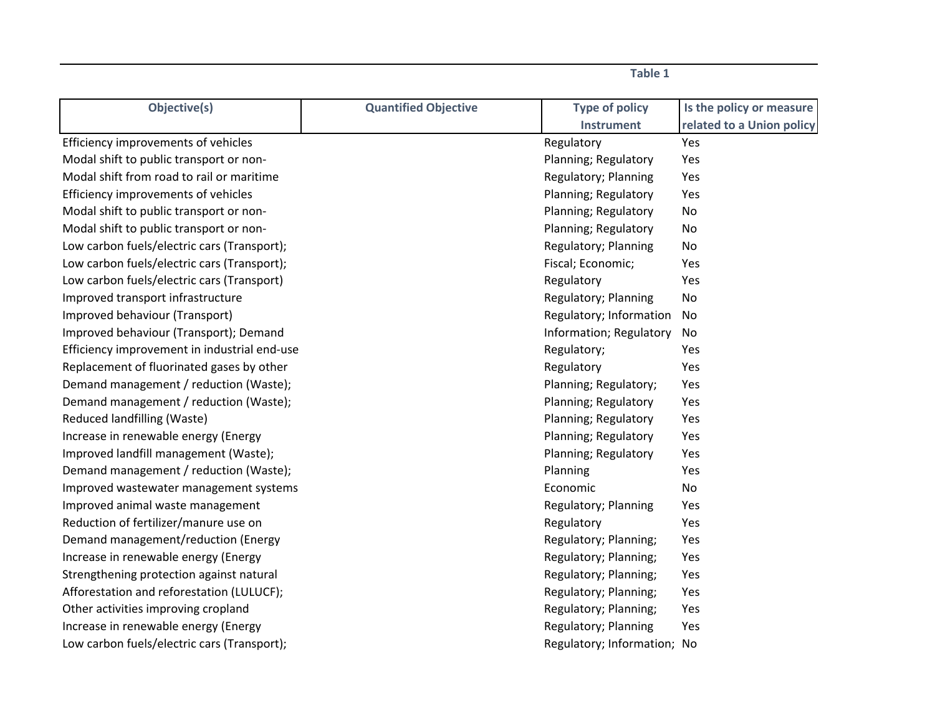| Objective(s)                                 | <b>Quantified Objective</b> | <b>Type of policy</b>       | Is the policy or measure  |
|----------------------------------------------|-----------------------------|-----------------------------|---------------------------|
|                                              |                             | <b>Instrument</b>           | related to a Union policy |
| Efficiency improvements of vehicles          |                             | Regulatory                  | Yes                       |
| Modal shift to public transport or non-      |                             | Planning; Regulatory        | Yes                       |
| Modal shift from road to rail or maritime    |                             | Regulatory; Planning        | Yes                       |
| Efficiency improvements of vehicles          |                             | Planning; Regulatory        | Yes                       |
| Modal shift to public transport or non-      |                             | Planning; Regulatory        | No                        |
| Modal shift to public transport or non-      |                             | Planning; Regulatory        | No                        |
| Low carbon fuels/electric cars (Transport);  |                             | Regulatory; Planning        | No                        |
| Low carbon fuels/electric cars (Transport);  |                             | Fiscal; Economic;           | Yes                       |
| Low carbon fuels/electric cars (Transport)   |                             | Regulatory                  | Yes                       |
| Improved transport infrastructure            |                             | Regulatory; Planning        | No                        |
| Improved behaviour (Transport)               |                             | Regulatory; Information     | No                        |
| Improved behaviour (Transport); Demand       |                             | Information; Regulatory     | No                        |
| Efficiency improvement in industrial end-use |                             | Regulatory;                 | Yes                       |
| Replacement of fluorinated gases by other    |                             | Regulatory                  | Yes                       |
| Demand management / reduction (Waste);       |                             | Planning; Regulatory;       | Yes                       |
| Demand management / reduction (Waste);       |                             | Planning; Regulatory        | Yes                       |
| Reduced landfilling (Waste)                  |                             | Planning; Regulatory        | Yes                       |
| Increase in renewable energy (Energy         |                             | Planning; Regulatory        | Yes                       |
| Improved landfill management (Waste);        |                             | Planning; Regulatory        | Yes                       |
| Demand management / reduction (Waste);       |                             | Planning                    | Yes                       |
| Improved wastewater management systems       |                             | Economic                    | No                        |
| Improved animal waste management             |                             | Regulatory; Planning        | Yes                       |
| Reduction of fertilizer/manure use on        |                             | Regulatory                  | Yes                       |
| Demand management/reduction (Energy          |                             | Regulatory; Planning;       | Yes                       |
| Increase in renewable energy (Energy         |                             | Regulatory; Planning;       | Yes                       |
| Strengthening protection against natural     |                             | Regulatory; Planning;       | Yes                       |
| Afforestation and reforestation (LULUCF);    |                             | Regulatory; Planning;       | Yes                       |
| Other activities improving cropland          |                             | Regulatory; Planning;       | Yes                       |
| Increase in renewable energy (Energy         |                             | Regulatory; Planning        | Yes                       |
| Low carbon fuels/electric cars (Transport);  |                             | Regulatory; Information; No |                           |

**Table 1**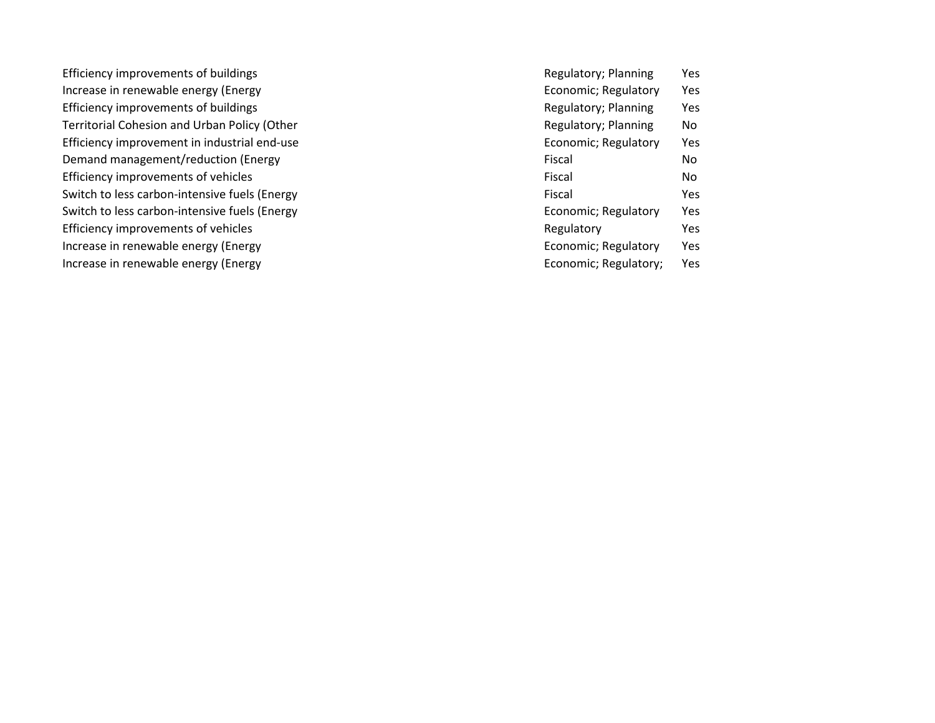Efficiency improvements of buildings Increase in renewable energy (Energy Efficiency improvements of buildings Territorial Cohesion and Urban Policy (Other Efficiency improvement in industrial end-use Demand management/reduction (Energy Efficiency improvements of vehicles Switch to less carbon-intensive fuels (Energy Switch to less carbon-intensive fuels (Energy Efficiency improvements of vehicles Increase in renewable energy (Energy Increase in renewable energy (Energy

Regulatory; Planning Yes Economic; Regulatory Yes Regulatory; Planning Yes Regulatory; Planning No Economic; Regulatory Yes Fiscal No Fiscal No Fiscal Yes Economic; Regulatory Yes Regulatory Yes Economic; Regulatory Yes Economic; Regulatory; Yes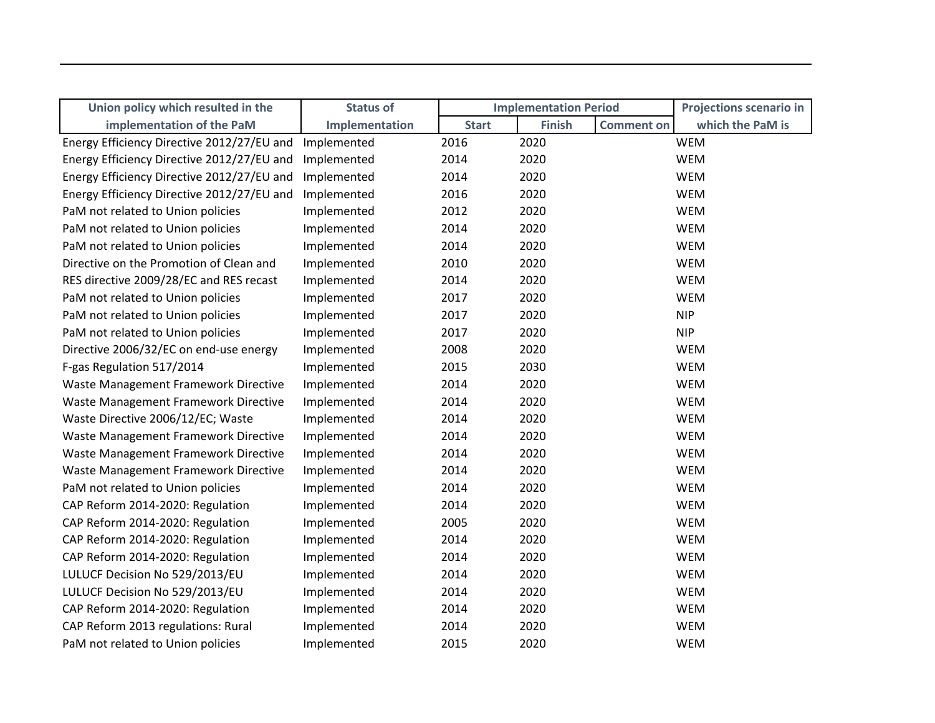| Union policy which resulted in the         | <b>Status of</b> |              | <b>Implementation Period</b> |                   | <b>Projections scenario in</b> |
|--------------------------------------------|------------------|--------------|------------------------------|-------------------|--------------------------------|
| implementation of the PaM                  | Implementation   | <b>Start</b> | <b>Finish</b>                | <b>Comment on</b> | which the PaM is               |
| Energy Efficiency Directive 2012/27/EU and | Implemented      | 2016         | 2020                         |                   | <b>WEM</b>                     |
| Energy Efficiency Directive 2012/27/EU and | Implemented      | 2014         | 2020                         |                   | <b>WEM</b>                     |
| Energy Efficiency Directive 2012/27/EU and | Implemented      | 2014         | 2020                         |                   | <b>WEM</b>                     |
| Energy Efficiency Directive 2012/27/EU and | Implemented      | 2016         | 2020                         |                   | <b>WEM</b>                     |
| PaM not related to Union policies          | Implemented      | 2012         | 2020                         |                   | <b>WEM</b>                     |
| PaM not related to Union policies          | Implemented      | 2014         | 2020                         |                   | <b>WEM</b>                     |
| PaM not related to Union policies          | Implemented      | 2014         | 2020                         |                   | <b>WEM</b>                     |
| Directive on the Promotion of Clean and    | Implemented      | 2010         | 2020                         |                   | <b>WEM</b>                     |
| RES directive 2009/28/EC and RES recast    | Implemented      | 2014         | 2020                         |                   | <b>WEM</b>                     |
| PaM not related to Union policies          | Implemented      | 2017         | 2020                         |                   | <b>WEM</b>                     |
| PaM not related to Union policies          | Implemented      | 2017         | 2020                         |                   | <b>NIP</b>                     |
| PaM not related to Union policies          | Implemented      | 2017         | 2020                         |                   | <b>NIP</b>                     |
| Directive 2006/32/EC on end-use energy     | Implemented      | 2008         | 2020                         |                   | <b>WEM</b>                     |
| F-gas Regulation 517/2014                  | Implemented      | 2015         | 2030                         |                   | <b>WEM</b>                     |
| Waste Management Framework Directive       | Implemented      | 2014         | 2020                         |                   | <b>WEM</b>                     |
| Waste Management Framework Directive       | Implemented      | 2014         | 2020                         |                   | <b>WEM</b>                     |
| Waste Directive 2006/12/EC; Waste          | Implemented      | 2014         | 2020                         |                   | <b>WEM</b>                     |
| Waste Management Framework Directive       | Implemented      | 2014         | 2020                         |                   | <b>WEM</b>                     |
| Waste Management Framework Directive       | Implemented      | 2014         | 2020                         |                   | <b>WEM</b>                     |
| Waste Management Framework Directive       | Implemented      | 2014         | 2020                         |                   | <b>WEM</b>                     |
| PaM not related to Union policies          | Implemented      | 2014         | 2020                         |                   | <b>WEM</b>                     |
| CAP Reform 2014-2020: Regulation           | Implemented      | 2014         | 2020                         |                   | <b>WEM</b>                     |
| CAP Reform 2014-2020: Regulation           | Implemented      | 2005         | 2020                         |                   | <b>WEM</b>                     |
| CAP Reform 2014-2020: Regulation           | Implemented      | 2014         | 2020                         |                   | <b>WEM</b>                     |
| CAP Reform 2014-2020: Regulation           | Implemented      | 2014         | 2020                         |                   | <b>WEM</b>                     |
| LULUCF Decision No 529/2013/EU             | Implemented      | 2014         | 2020                         |                   | <b>WEM</b>                     |
| LULUCF Decision No 529/2013/EU             | Implemented      | 2014         | 2020                         |                   | <b>WEM</b>                     |
| CAP Reform 2014-2020: Regulation           | Implemented      | 2014         | 2020                         |                   | <b>WEM</b>                     |
| CAP Reform 2013 regulations: Rural         | Implemented      | 2014         | 2020                         |                   | <b>WEM</b>                     |
| PaM not related to Union policies          | Implemented      | 2015         | 2020                         |                   | <b>WEM</b>                     |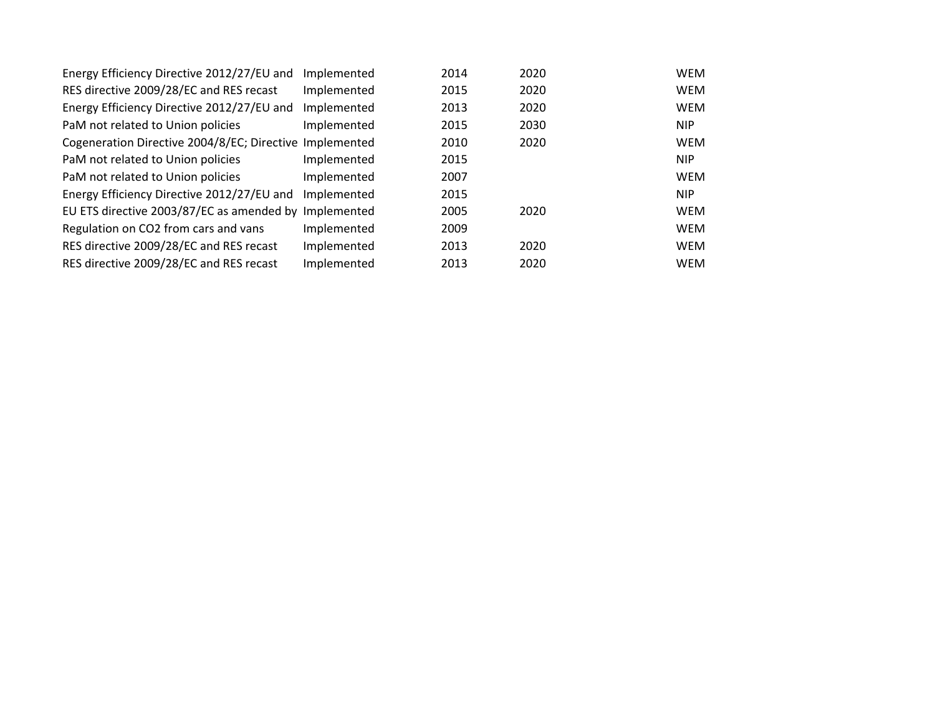| Energy Efficiency Directive 2012/27/EU and              | Implemented | 2014 | 2020 | <b>WEM</b> |
|---------------------------------------------------------|-------------|------|------|------------|
| RES directive 2009/28/EC and RES recast                 | Implemented | 2015 | 2020 | <b>WEM</b> |
| Energy Efficiency Directive 2012/27/EU and              | Implemented | 2013 | 2020 | <b>WEM</b> |
| PaM not related to Union policies                       | Implemented | 2015 | 2030 | <b>NIP</b> |
| Cogeneration Directive 2004/8/EC; Directive Implemented |             | 2010 | 2020 | <b>WEM</b> |
| PaM not related to Union policies                       | Implemented | 2015 |      | <b>NIP</b> |
| PaM not related to Union policies                       | Implemented | 2007 |      | <b>WEM</b> |
| Energy Efficiency Directive 2012/27/EU and              | Implemented | 2015 |      | <b>NIP</b> |
| EU ETS directive 2003/87/EC as amended by               | Implemented | 2005 | 2020 | <b>WEM</b> |
| Regulation on CO2 from cars and vans                    | Implemented | 2009 |      | <b>WEM</b> |
| RES directive 2009/28/EC and RES recast                 | Implemented | 2013 | 2020 | <b>WEM</b> |
| RES directive 2009/28/EC and RES recast                 | Implemented | 2013 | 2020 | <b>WEM</b> |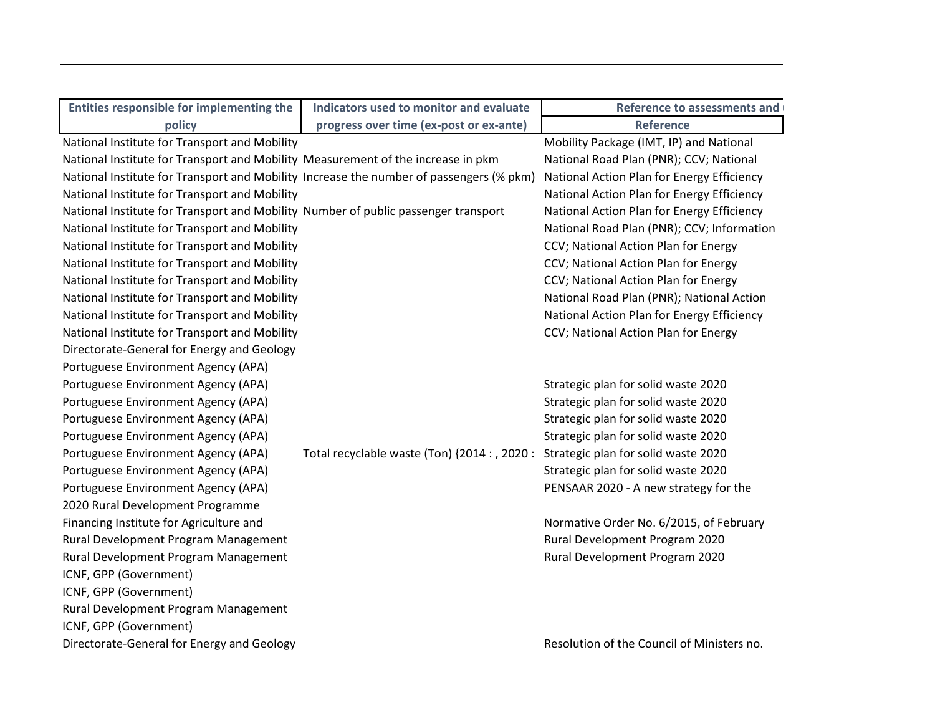| Entities responsible for implementing the                                               | Indicators used to monitor and evaluate       | <b>Reference to assessments and</b>        |
|-----------------------------------------------------------------------------------------|-----------------------------------------------|--------------------------------------------|
| policy                                                                                  | progress over time (ex-post or ex-ante)       | <b>Reference</b>                           |
| National Institute for Transport and Mobility                                           |                                               | Mobility Package (IMT, IP) and National    |
| National Institute for Transport and Mobility Measurement of the increase in pkm        |                                               | National Road Plan (PNR); CCV; National    |
| National Institute for Transport and Mobility Increase the number of passengers (% pkm) |                                               | National Action Plan for Energy Efficiency |
| National Institute for Transport and Mobility                                           |                                               | National Action Plan for Energy Efficiency |
| National Institute for Transport and Mobility Number of public passenger transport      |                                               | National Action Plan for Energy Efficiency |
| National Institute for Transport and Mobility                                           |                                               | National Road Plan (PNR); CCV; Information |
| National Institute for Transport and Mobility                                           |                                               | CCV; National Action Plan for Energy       |
| National Institute for Transport and Mobility                                           |                                               | CCV; National Action Plan for Energy       |
| National Institute for Transport and Mobility                                           |                                               | CCV; National Action Plan for Energy       |
| National Institute for Transport and Mobility                                           |                                               | National Road Plan (PNR); National Action  |
| National Institute for Transport and Mobility                                           |                                               | National Action Plan for Energy Efficiency |
| National Institute for Transport and Mobility                                           |                                               | CCV; National Action Plan for Energy       |
| Directorate-General for Energy and Geology                                              |                                               |                                            |
| Portuguese Environment Agency (APA)                                                     |                                               |                                            |
| Portuguese Environment Agency (APA)                                                     |                                               | Strategic plan for solid waste 2020        |
| Portuguese Environment Agency (APA)                                                     |                                               | Strategic plan for solid waste 2020        |
| Portuguese Environment Agency (APA)                                                     |                                               | Strategic plan for solid waste 2020        |
| Portuguese Environment Agency (APA)                                                     |                                               | Strategic plan for solid waste 2020        |
| Portuguese Environment Agency (APA)                                                     | Total recyclable waste (Ton) {2014 : , 2020 : | Strategic plan for solid waste 2020        |
| Portuguese Environment Agency (APA)                                                     |                                               | Strategic plan for solid waste 2020        |
| Portuguese Environment Agency (APA)                                                     |                                               | PENSAAR 2020 - A new strategy for the      |
| 2020 Rural Development Programme                                                        |                                               |                                            |
| Financing Institute for Agriculture and                                                 |                                               | Normative Order No. 6/2015, of February    |
| Rural Development Program Management                                                    |                                               | Rural Development Program 2020             |
| Rural Development Program Management                                                    |                                               | Rural Development Program 2020             |
| ICNF, GPP (Government)                                                                  |                                               |                                            |
| ICNF, GPP (Government)                                                                  |                                               |                                            |
| Rural Development Program Management                                                    |                                               |                                            |
| ICNF, GPP (Government)                                                                  |                                               |                                            |
| Directorate-General for Energy and Geology                                              |                                               | Resolution of the Council of Ministers no. |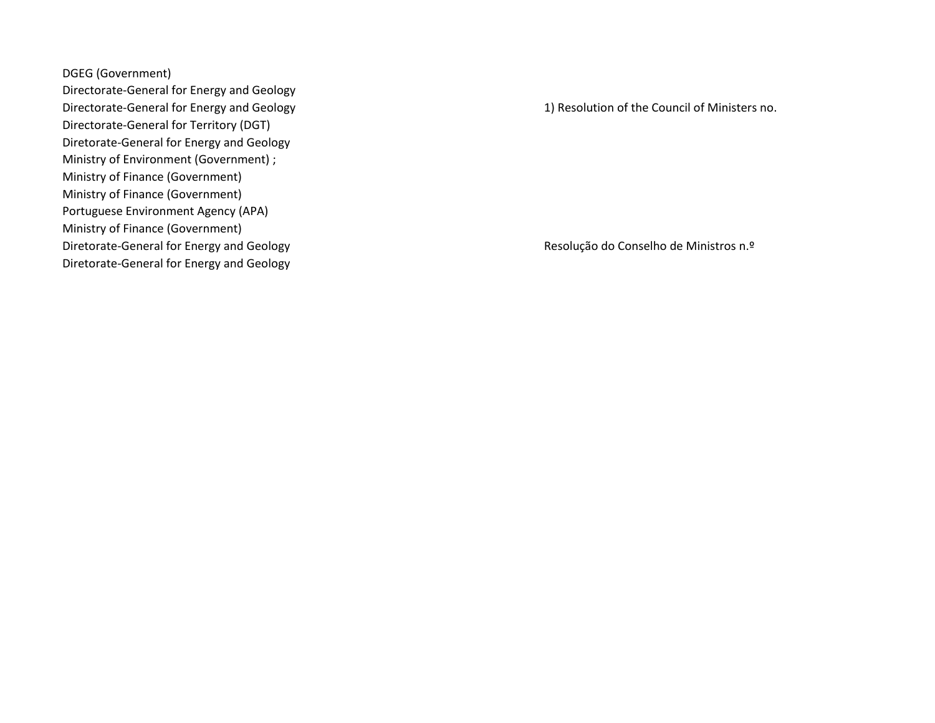DGEG (Government)

Directorate-General for Energy and Geology Directorate-General for Energy and Geology Directorate-General for Territory (DGT) 2001 2002 of 10 Aprilis 2002 of 10 Aprilis 2003 of 10 Aprilis 2003 of 10 Aprilis 2013 of 10 Aprilis 2013 of 10 Aprilis 2013 of 10 Aprilis 2013 of 10 Aprilis 2013 of 10 Aprilis 2013 o Diretorate-General for Energy and Geology Ministry of Environment (Government) ; Ministry of Finance (Government) Ministry of Finance (Government) Portuguese Environment Agency (APA) Ministry of Finance (Government) Diretorate-General for Energy and Geology Diretorate-General for Energy and Geology 2002 degree 2003 degree 2013 de 10 de 10 de Abril; National Action P

1) Resolution of the Council of Ministers no.

Resolução do Conselho de Ministros n.º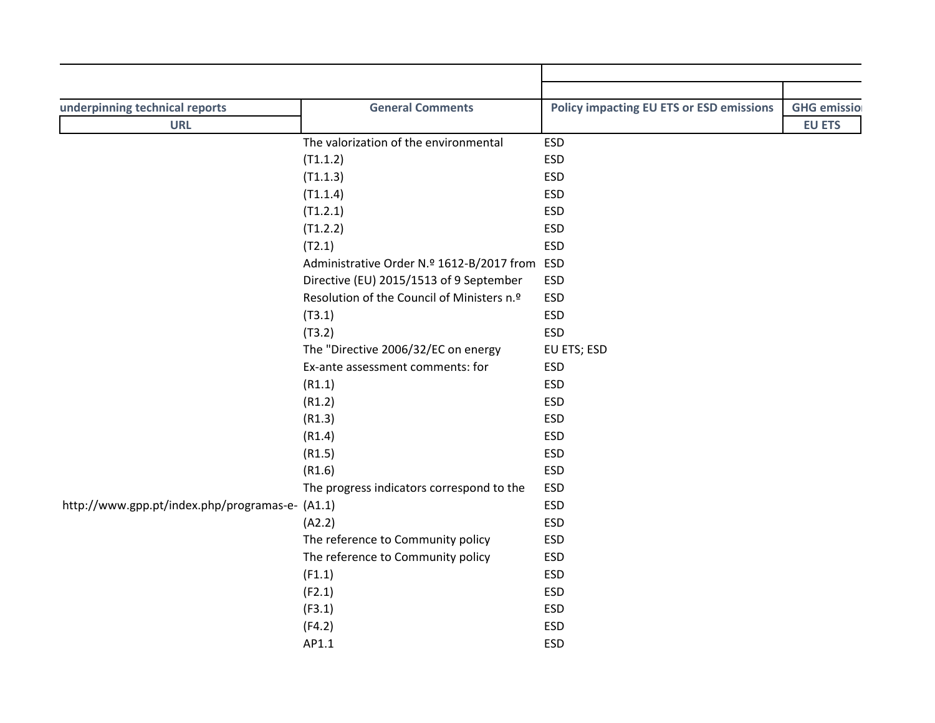| <b>General Comments</b><br>underpinning technical reports | Policy impacting EU ETS or ESD emissions GHG emission |
|-----------------------------------------------------------|-------------------------------------------------------|
| <b>URL</b>                                                | <b>EU ETS</b>                                         |
| The valorization of the environmental<br>ESD              |                                                       |
| (T1.1.2)<br><b>ESD</b>                                    |                                                       |
| (T1.1.3)<br><b>ESD</b>                                    |                                                       |
| (T1.1.4)<br><b>ESD</b>                                    |                                                       |
| (T1.2.1)<br>ESD                                           |                                                       |
| (T1.2.2)<br>ESD                                           |                                                       |
| (T2.1)<br><b>ESD</b>                                      |                                                       |
| Administrative Order N.º 1612-B/2017 from ESD             |                                                       |
| Directive (EU) 2015/1513 of 9 September ESD               |                                                       |
| Resolution of the Council of Ministers n.º ESD            |                                                       |
| (T3.1)<br><b>ESD</b>                                      |                                                       |
| (T3.2)<br><b>ESD</b>                                      |                                                       |
| EU ETS; ESD<br>The "Directive 2006/32/EC on energy        |                                                       |
| <b>ESD</b><br>Ex-ante assessment comments: for            |                                                       |
| <b>ESD</b><br>(R1.1)                                      |                                                       |
| <b>ESD</b><br>(R1.2)                                      |                                                       |
| ESD<br>(R1.3)                                             |                                                       |
| ESD<br>(R1.4)                                             |                                                       |
| ESD<br>(R1.5)                                             |                                                       |
| (R1.6)<br>ESD                                             |                                                       |
| The progress indicators correspond to the ESD             |                                                       |
| http://www.gpp.pt/index.php/programas-e- (A1.1)<br>ESD    |                                                       |
| <b>ESD</b>                                                |                                                       |
| (A2.2)<br><b>ESD</b>                                      |                                                       |
| The reference to Community policy                         |                                                       |
| <b>ESD</b><br>The reference to Community policy           |                                                       |
| <b>ESD</b><br>(F1.1)                                      |                                                       |
| (F2.1)<br>ESD                                             |                                                       |
| (F3.1)<br>ESD                                             |                                                       |
| (F4.2)<br><b>ESD</b>                                      |                                                       |
| AP1.1<br>ESD                                              |                                                       |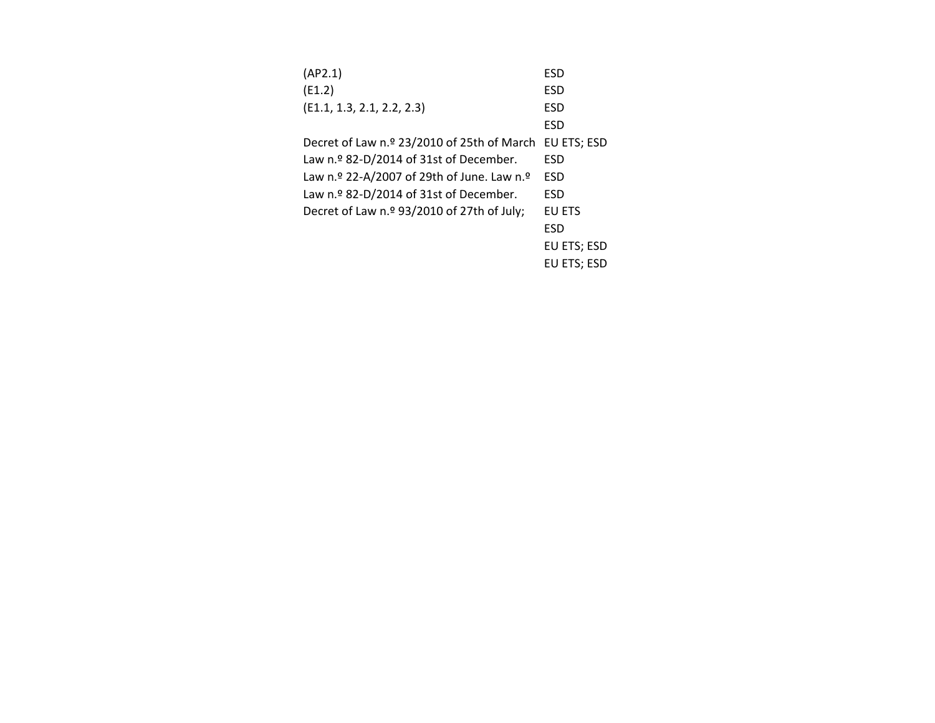| (AP2.1)                                    | ESD           |
|--------------------------------------------|---------------|
| (E1.2)                                     | <b>ESD</b>    |
| (E1.1, 1.3, 2.1, 2.2, 2.3)                 | <b>ESD</b>    |
|                                            | <b>ESD</b>    |
| Decret of Law n.º 23/2010 of 25th of March | EU ETS: ESD   |
| Law n.º 82-D/2014 of 31st of December.     | ESD           |
| Law n.º 22-A/2007 of 29th of June. Law n.º | <b>ESD</b>    |
| Law n.º 82-D/2014 of 31st of December.     | <b>ESD</b>    |
| Decret of Law n.º 93/2010 of 27th of July; | <b>EU ETS</b> |
|                                            | <b>ESD</b>    |
|                                            | EU ETS; ESD   |
|                                            | EU ETS: ESD   |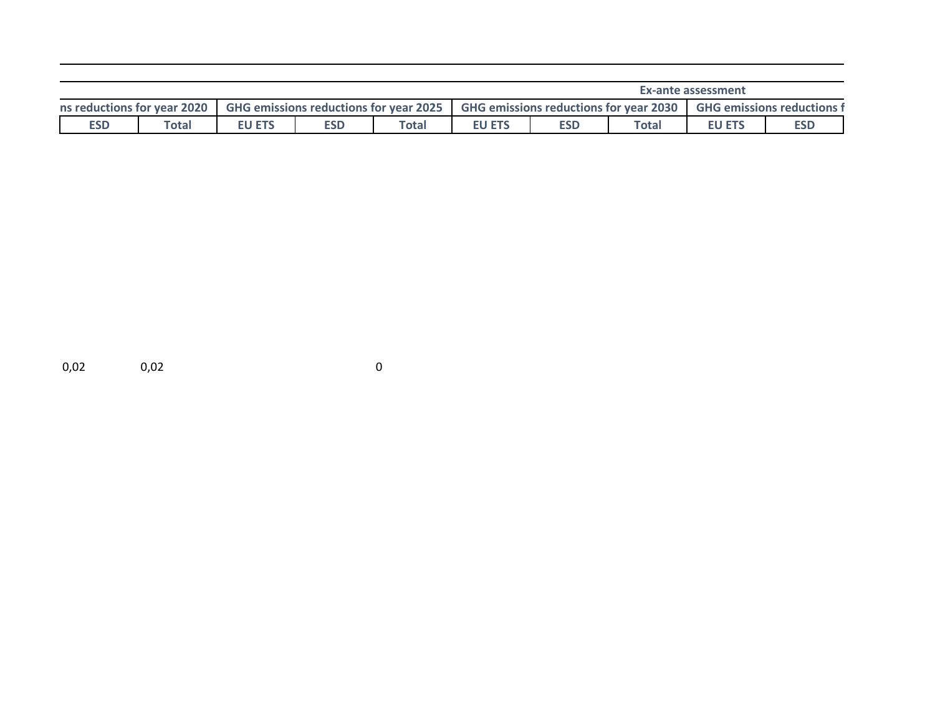| Ex-ante assessment              |       |              |                                               |              |                                            |            |       |                      |                     |
|---------------------------------|-------|--------------|-----------------------------------------------|--------------|--------------------------------------------|------------|-------|----------------------|---------------------|
| 2020<br>ns reductions for year. |       |              | <b>GHG emissions reductions for year 2025</b> |              | <b>GHG emissions reductions for year ?</b> |            | 2030  | <b>GHG emissions</b> | reductions <b>i</b> |
| <b>ESD</b>                      | Total | J ETS<br>LV. | <b>ESD</b>                                    | <b>Total</b> | <b>EU ETS</b>                              | <b>ESD</b> | Total | <b>EU ETS</b>        | <b>ESD</b>          |

0,02 0,02 0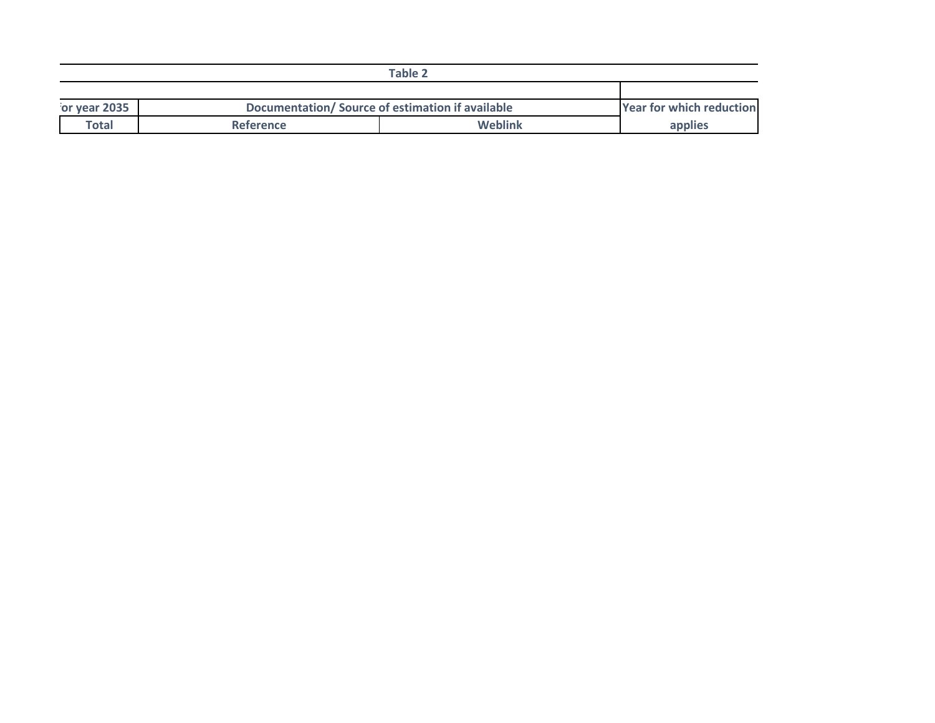|              | Table:                                           |         |                                       |
|--------------|--------------------------------------------------|---------|---------------------------------------|
|              |                                                  |         |                                       |
| or year 2035 | Documentation/ Source of estimation if available |         | r for which reduction <br><b>Year</b> |
| <b>Total</b> | <b>Reference</b>                                 | Weblink |                                       |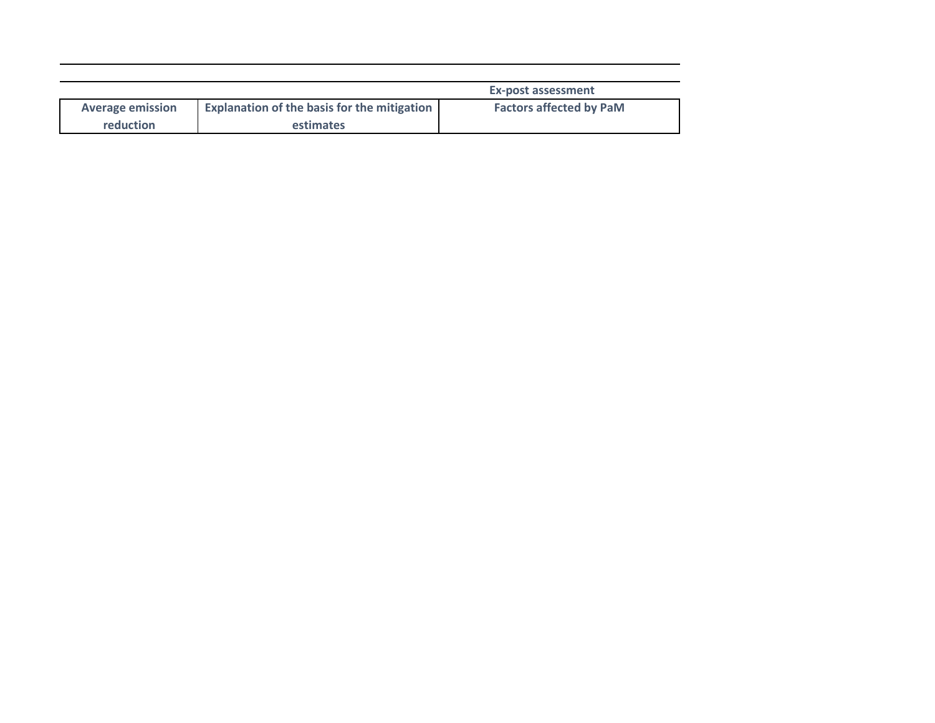|                         |                                                    | Ex-post assessment             |
|-------------------------|----------------------------------------------------|--------------------------------|
| <b>Average emission</b> | <b>Explanation of the basis for the mitigation</b> | <b>Factors affected by PaM</b> |
| reduction               | <b>estimates</b>                                   |                                |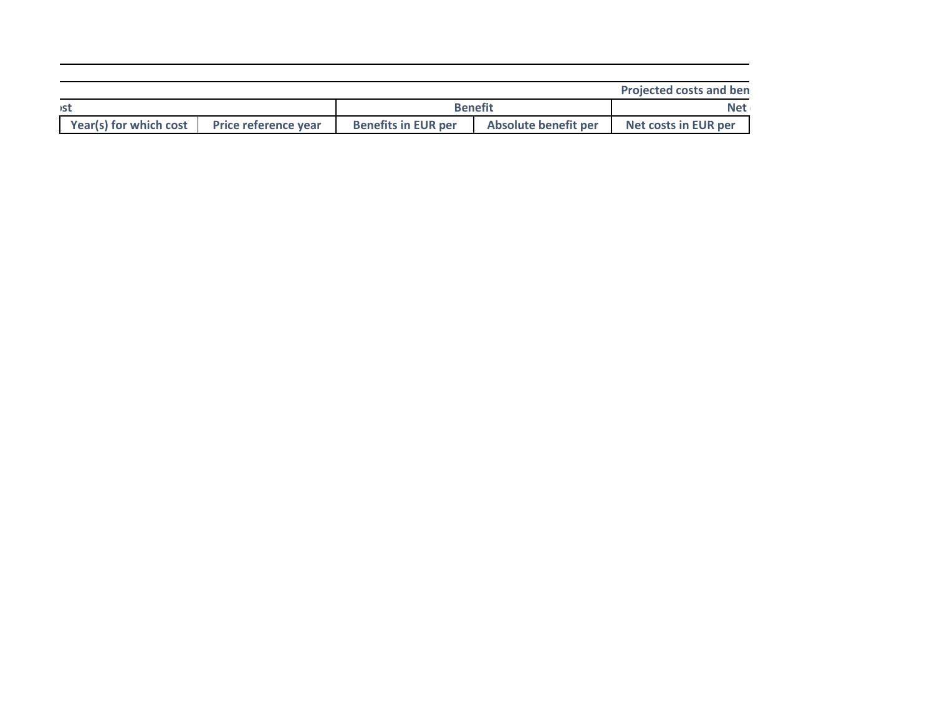|                        |                             |                            |                      | <b>Projected costs and ben</b> |
|------------------------|-----------------------------|----------------------------|----------------------|--------------------------------|
| )S1                    |                             |                            | <b>Benefit</b>       | <b>Net</b>                     |
| Year(s) for which cost | <b>Price reference year</b> | <b>Benefits in EUR per</b> | Absolute benefit per | Net costs in EUR per           |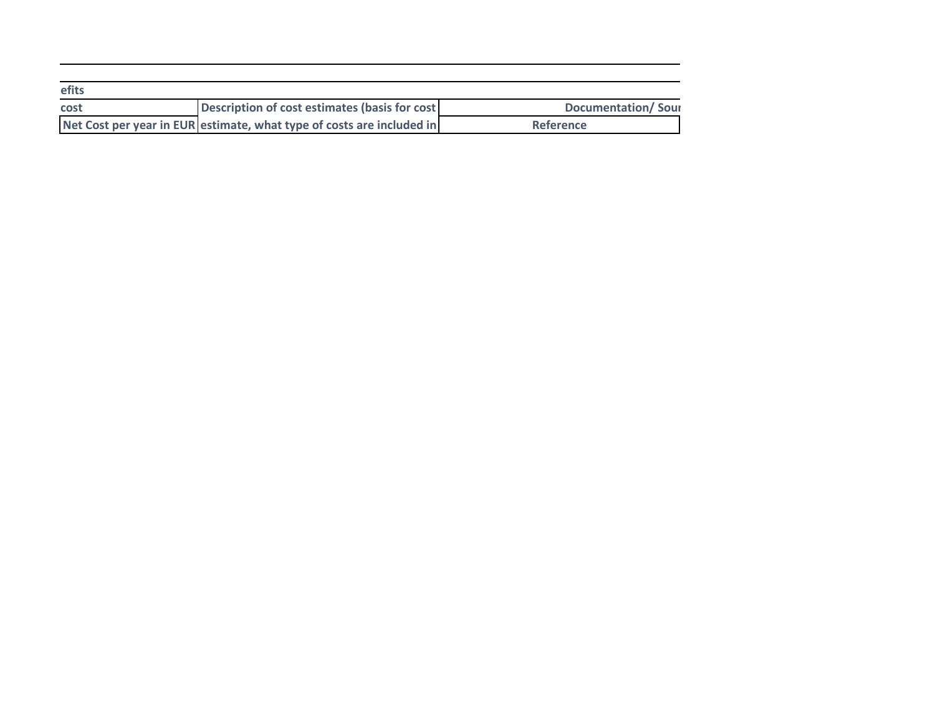| efits |                                                                       |                    |
|-------|-----------------------------------------------------------------------|--------------------|
| cost  | Description of cost estimates (basis for cost                         | Documentation/Sour |
|       | Net Cost per year in EUR estimate, what type of costs are included in | Reference          |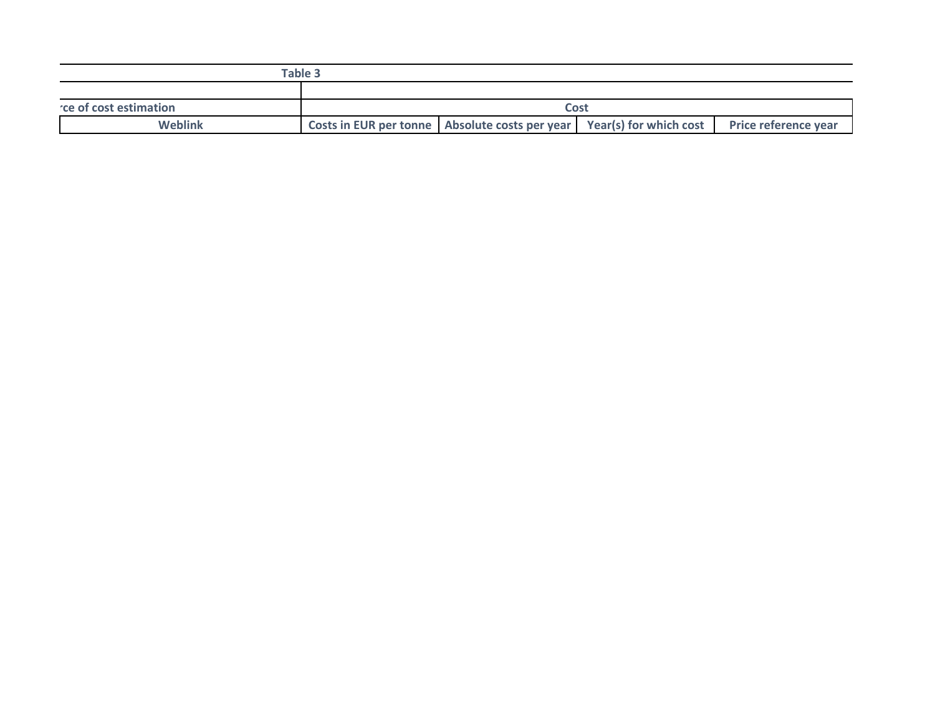|                         | 'ahle<br>ianic -                                                                                          |  |  |
|-------------------------|-----------------------------------------------------------------------------------------------------------|--|--|
|                         |                                                                                                           |  |  |
| the of cost estimation. |                                                                                                           |  |  |
| Weblin                  | Year(s) for which cost<br>Price reference year<br><b>Costs in EUR per tonne</b><br>Absolute costs per yea |  |  |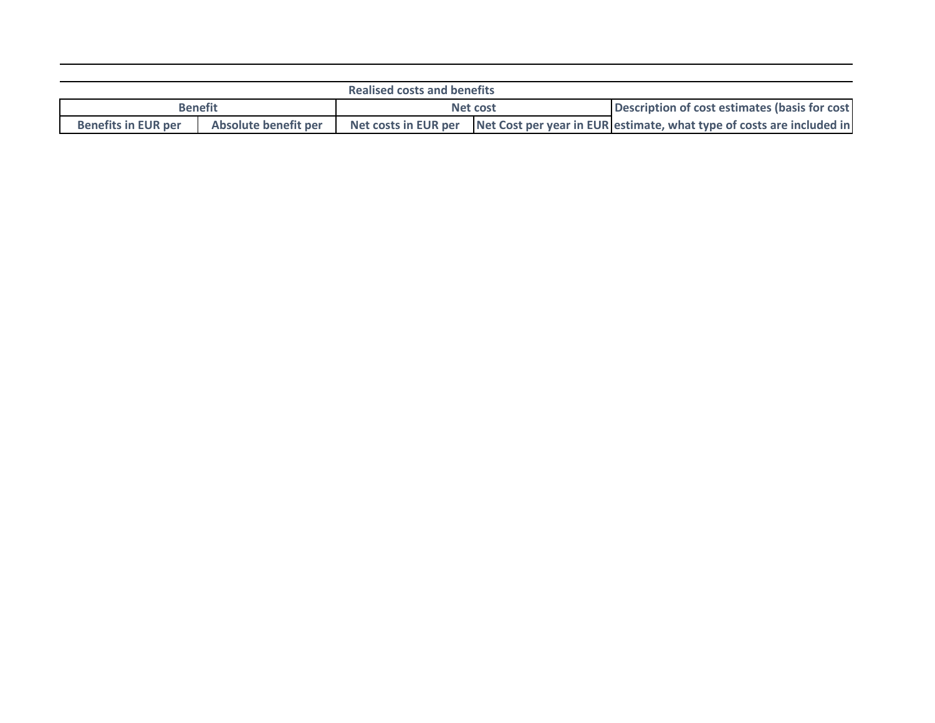|                            |                      | <b>Realised costs and benefits</b> |          |                                                                                            |
|----------------------------|----------------------|------------------------------------|----------|--------------------------------------------------------------------------------------------|
|                            | <b>Benefit</b>       |                                    | Net cost | Description of cost estimates (basis for cost                                              |
| <b>Benefits in EUR per</b> | Absolute benefit per |                                    |          | Net costs in EUR per Net Cost per year in EUR estimate, what type of costs are included in |